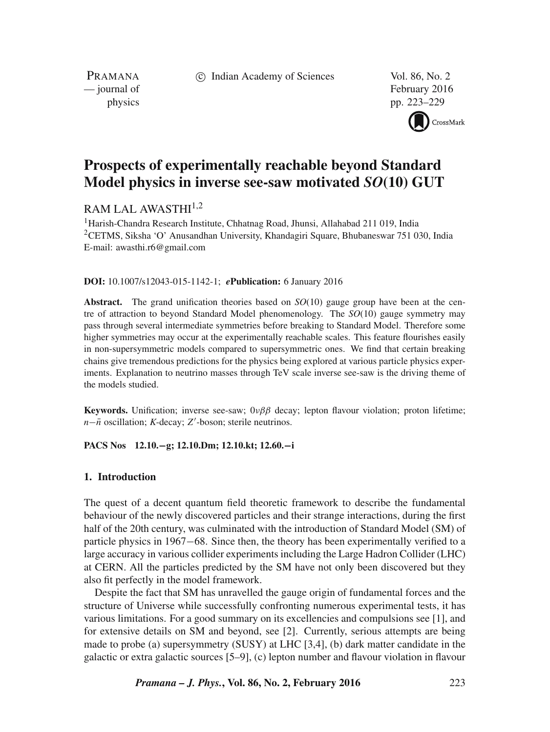c Indian Academy of Sciences Vol. 86, No. 2

PRAMANA

— journal of February 2016 physics pp. 223–229



# **Prospects of experimentally reachable beyond Standard Model physics in inverse see-saw motivated** *SO***(10) GUT**

# RAM LAL AWASTHI $1,2$

<sup>1</sup>Harish-Chandra Research Institute, Chhatnag Road, Jhunsi, Allahabad 211 019, India <sup>2</sup>CETMS, Siksha 'O' Anusandhan University, Khandagiri Square, Bhubaneswar 751 030, India E-mail: awasthi.r6@gmail.com

**DOI:** 10.1007/s12043-015-1142-1; *e***Publication:** 6 January 2016

**Abstract.** The grand unification theories based on *SO*(10) gauge group have been at the centre of attraction to beyond Standard Model phenomenology. The *SO*(10) gauge symmetry may pass through several intermediate symmetries before breaking to Standard Model. Therefore some higher symmetries may occur at the experimentally reachable scales. This feature flourishes easily in non-supersymmetric models compared to supersymmetric ones. We find that certain breaking chains give tremendous predictions for the physics being explored at various particle physics experiments. Explanation to neutrino masses through TeV scale inverse see-saw is the driving theme of the models studied.

**Keywords.** Unification; inverse see-saw;  $0\nu\beta\beta$  decay; lepton flavour violation; proton lifetime; *n*− $\bar{n}$  oscillation; K-decay; Z'-boson; sterile neutrinos.

### **PACS Nos 12.10.**−**g; 12.10.Dm; 12.10.kt; 12.60.**−**i**

### **1. Introduction**

The quest of a decent quantum field theoretic framework to describe the fundamental behaviour of the newly discovered particles and their strange interactions, during the first half of the 20th century, was culminated with the introduction of Standard Model (SM) of particle physics in 1967−68. Since then, the theory has been experimentally verified to a large accuracy in various collider experiments including the Large Hadron Collider (LHC) at CERN. All the particles predicted by the SM have not only been discovered but they also fit perfectly in the model framework.

Despite the fact that SM has unravelled the gauge origin of fundamental forces and the structure of Universe while successfully confronting numerous experimental tests, it has various limitations. For a good summary on its excellencies and compulsions see [1], and for extensive details on SM and beyond, see [2]. Currently, serious attempts are being made to probe (a) supersymmetry (SUSY) at LHC [3,4], (b) dark matter candidate in the galactic or extra galactic sources [5–9], (c) lepton number and flavour violation in flavour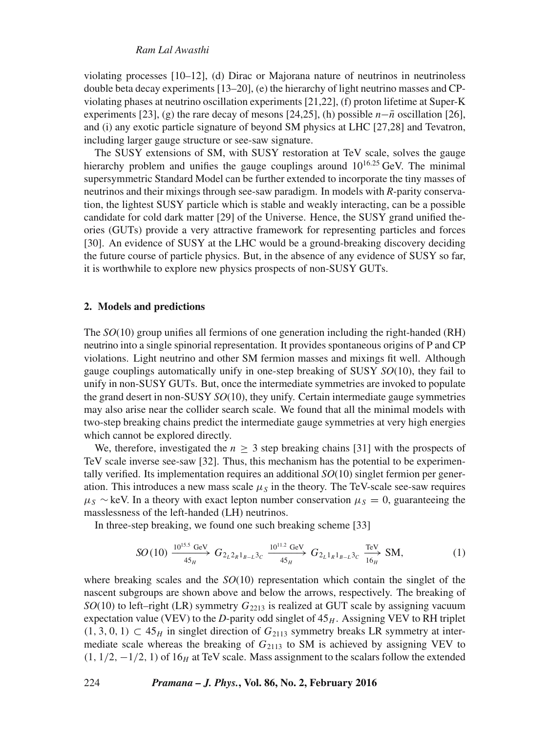#### *Ram Lal Awasthi*

violating processes [10–12], (d) Dirac or Majorana nature of neutrinos in neutrinoless double beta decay experiments [13–20], (e) the hierarchy of light neutrino masses and CPviolating phases at neutrino oscillation experiments [21,22], (f) proton lifetime at Super-K experiments [23], (g) the rare decay of mesons [24,25], (h) possible  $n-\bar{n}$  oscillation [26], and (i) any exotic particle signature of beyond SM physics at LHC [27,28] and Tevatron, including larger gauge structure or see-saw signature.

The SUSY extensions of SM, with SUSY restoration at TeV scale, solves the gauge hierarchy problem and unifies the gauge couplings around  $10^{16.25}$  GeV. The minimal supersymmetric Standard Model can be further extended to incorporate the tiny masses of neutrinos and their mixings through see-saw paradigm. In models with *R*-parity conservation, the lightest SUSY particle which is stable and weakly interacting, can be a possible candidate for cold dark matter [29] of the Universe. Hence, the SUSY grand unified theories (GUTs) provide a very attractive framework for representing particles and forces [30]. An evidence of SUSY at the LHC would be a ground-breaking discovery deciding the future course of particle physics. But, in the absence of any evidence of SUSY so far, it is worthwhile to explore new physics prospects of non-SUSY GUTs.

#### **2. Models and predictions**

The *SO*(10) group unifies all fermions of one generation including the right-handed (RH) neutrino into a single spinorial representation. It provides spontaneous origins of P and CP violations. Light neutrino and other SM fermion masses and mixings fit well. Although gauge couplings automatically unify in one-step breaking of SUSY *SO*(10), they fail to unify in non-SUSY GUTs. But, once the intermediate symmetries are invoked to populate the grand desert in non-SUSY *SO*(10), they unify. Certain intermediate gauge symmetries may also arise near the collider search scale. We found that all the minimal models with two-step breaking chains predict the intermediate gauge symmetries at very high energies which cannot be explored directly.

We, therefore, investigated the  $n \geq 3$  step breaking chains [31] with the prospects of TeV scale inverse see-saw [32]. Thus, this mechanism has the potential to be experimentally verified. Its implementation requires an additional *SO*(10) singlet fermion per generation. This introduces a new mass scale  $\mu<sub>S</sub>$  in the theory. The TeV-scale see-saw requires  $\mu_S \sim$  keV. In a theory with exact lepton number conservation  $\mu_S = 0$ , guaranteeing the masslessness of the left-handed (LH) neutrinos.

In three-step breaking, we found one such breaking scheme [33]

$$
SO(10) \xrightarrow[45_H]{10^{15.5} \text{ GeV}} G_{2_L 2_R 1_{B-L} 3_C} \xrightarrow[45_H]{10^{11.2} \text{ GeV}} G_{2_L 1_R 1_{B-L} 3_C} \xrightarrow[16_H]{\text{TeV}} \text{SM},
$$
 (1)

where breaking scales and the  $SO(10)$  representation which contain the singlet of the nascent subgroups are shown above and below the arrows, respectively. The breaking of  $SO(10)$  to left–right (LR) symmetry  $G_{2213}$  is realized at GUT scale by assigning vacuum expectation value (VEV) to the  $D$ -parity odd singlet of  $45<sub>H</sub>$ . Assigning VEV to RH triplet  $(1, 3, 0, 1) \subset 45_H$  in singlet direction of  $G_{2113}$  symmetry breaks LR symmetry at intermediate scale whereas the breaking of  $G_{2113}$  to SM is achieved by assigning VEV to  $(1, 1/2, -1/2, 1)$  of 16<sub>H</sub> at TeV scale. Mass assignment to the scalars follow the extended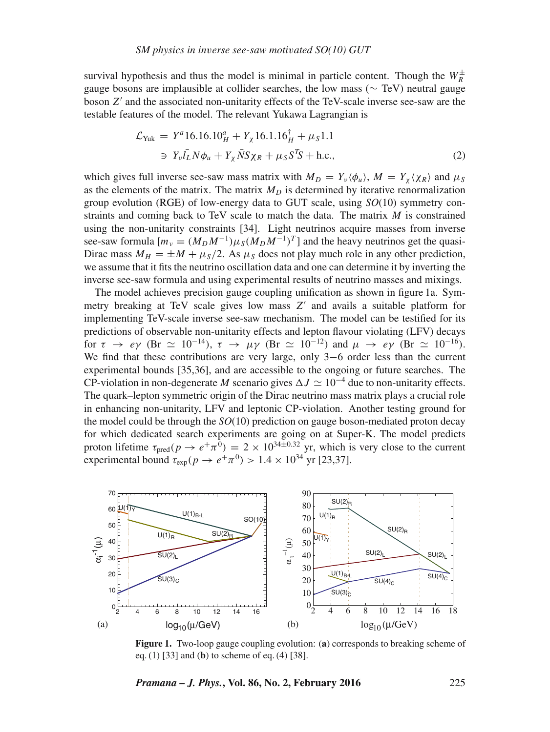survival hypothesis and thus the model is minimal in particle content. Though the  $W_R^{\pm}$ gauge bosons are implausible at collider searches, the low mass (∼ TeV) neutral gauge boson Z ′ and the associated non-unitarity effects of the TeV-scale inverse see-saw are the testable features of the model. The relevant Yukawa Lagrangian is

$$
\mathcal{L}_{\text{Yuk}} = Y^a 16.16.10_H^a + Y_\chi 16.1.16_H^{\dagger} + \mu_S 1.1
$$
  
\n
$$
\Rightarrow Y_\nu \bar{l}_L N \phi_u + Y_\chi \bar{N} S \chi_R + \mu_S S^T S + \text{h.c.},
$$
\n(2)

which gives full inverse see-saw mass matrix with  $M_D = Y_v \langle \phi_u \rangle$ ,  $M = Y_\chi \langle \chi_R \rangle$  and  $\mu_S$ as the elements of the matrix. The matrix  $M_D$  is determined by iterative renormalization group evolution (RGE) of low-energy data to GUT scale, using *SO*(10) symmetry constraints and coming back to TeV scale to match the data. The matrix  $M$  is constrained using the non-unitarity constraints [34]. Light neutrinos acquire masses from inverse see-saw formula  $[m_v = (M_D M^{-1}) \mu_S (M_D M^{-1})^T]$  and the heavy neutrinos get the quasi-Dirac mass  $M_H = \pm M + \mu_S/2$ . As  $\mu_S$  does not play much role in any other prediction, we assume that it fits the neutrino oscillation data and one can determine it by inverting the inverse see-saw formula and using experimental results of neutrino masses and mixings.

The model achieves precision gauge coupling unification as shown in figure 1a. Symmetry breaking at TeV scale gives low mass Z' and avails a suitable platform for implementing TeV-scale inverse see-saw mechanism. The model can be testified for its predictions of observable non-unitarity effects and lepton flavour violating (LFV) decays for  $\tau \to e\gamma$  (Br  $\simeq 10^{-14}$ ),  $\tau \to \mu\gamma$  (Br  $\simeq 10^{-12}$ ) and  $\mu \to e\gamma$  (Br  $\simeq 10^{-16}$ ). We find that these contributions are very large, only 3−6 order less than the current experimental bounds [35,36], and are accessible to the ongoing or future searches. The CP-violation in non-degenerate M scenario gives  $\Delta J \simeq 10^{-4}$  due to non-unitarity effects. The quark–lepton symmetric origin of the Dirac neutrino mass matrix plays a crucial role in enhancing non-unitarity, LFV and leptonic CP-violation. Another testing ground for the model could be through the *SO*(10) prediction on gauge boson-mediated proton decay for which dedicated search experiments are going on at Super-K. The model predicts proton lifetime  $\tau_{pred}(p \to e^+ \pi^0) = 2 \times 10^{34 \pm 0.32}$  yr, which is very close to the current experimental bound  $\tau_{\exp}(p \to e^+ \pi^0) > 1.4 \times 10^{34}$  yr [23,37].



**Figure 1.** Two-loop gauge coupling evolution: (**a**) corresponds to breaking scheme of eq. (1) [33] and (**b**) to scheme of eq. (4) [38].

*Pramana – J. Phys.***, Vol. 86, No. 2, February 2016** 225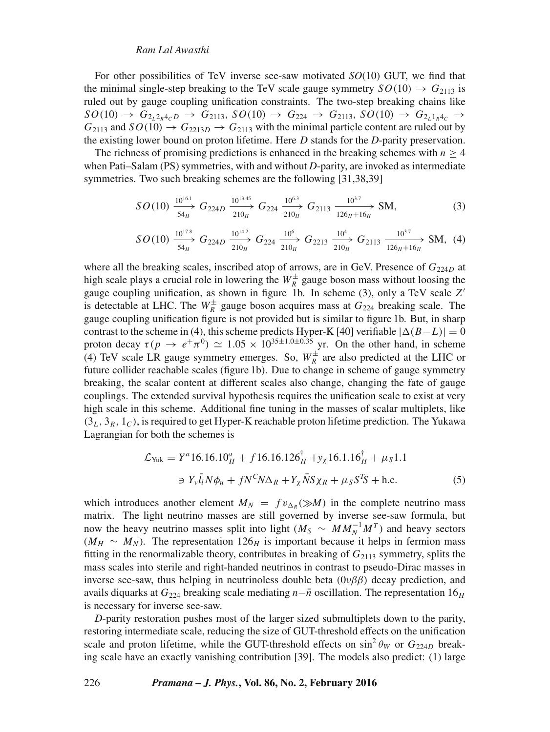#### *Ram Lal Awasthi*

For other possibilities of TeV inverse see-saw motivated *SO*(10) GUT, we find that the minimal single-step breaking to the TeV scale gauge symmetry  $SO(10) \rightarrow G_{2113}$  is ruled out by gauge coupling unification constraints. The two-step breaking chains like  $SO(10) \rightarrow G_{2_12_R 4_7D} \rightarrow G_{2113}$ ,  $SO(10) \rightarrow G_{224} \rightarrow G_{2113}$ ,  $SO(10) \rightarrow G_{2_11_R 4_7} \rightarrow$  $G_{2113}$  and  $SO(10) \rightarrow G_{2213D} \rightarrow G_{2113}$  with the minimal particle content are ruled out by the existing lower bound on proton lifetime. Here D stands for the *D*-parity preservation.

The richness of promising predictions is enhanced in the breaking schemes with  $n > 4$ when Pati–Salam (PS) symmetries, with and without *D*-parity, are invoked as intermediate symmetries. Two such breaking schemes are the following [31,38,39]

$$
SO(10) \xrightarrow[54]{}^{10^{16.1}} G_{224D} \xrightarrow[210]{}^{10^{13.45}} G_{224} \xrightarrow[210]{}^{10^{6.3}} G_{2113} \xrightarrow[126]{}^{10^{3.7}} SM,
$$
 (3)

$$
SO(10) \xrightarrow[54_H]{10^{17.8}} G_{224D} \xrightarrow[210_H]{10^{14.2}} G_{224} \xrightarrow[210_H]{10^6} G_{2213} \xrightarrow[210_H]{10^4} G_{2113} \xrightarrow[126_H+16_H]{10^{3.7}} SM, (4)
$$

where all the breaking scales, inscribed atop of arrows, are in GeV. Presence of  $G_{224D}$  at high scale plays a crucial role in lowering the  $W_R^{\pm}$  gauge boson mass without loosing the gauge coupling unification, as shown in figure 1b. In scheme (3), only a TeV scale Z' is detectable at LHC. The  $W_R^{\pm}$  gauge boson acquires mass at  $G_{224}$  breaking scale. The gauge coupling unification figure is not provided but is similar to figure 1b. But, in sharp contrast to the scheme in (4), this scheme predicts Hyper-K [40] verifiable  $|\Delta(B-L)| = 0$ proton decay  $\tau(p \to e^+ \pi^0) \simeq 1.05 \times 10^{35 \pm 1.0 \pm 0.35}$  yr. On the other hand, in scheme (4) TeV scale LR gauge symmetry emerges. So,  $W_R^{\pm}$  are also predicted at the LHC or future collider reachable scales (figure 1b). Due to change in scheme of gauge symmetry breaking, the scalar content at different scales also change, changing the fate of gauge couplings. The extended survival hypothesis requires the unification scale to exist at very high scale in this scheme. Additional fine tuning in the masses of scalar multiplets, like  $(3<sub>L</sub>, 3<sub>R</sub>, 1<sub>C</sub>)$ , is required to get Hyper-K reachable proton lifetime prediction. The Yukawa Lagrangian for both the schemes is

$$
\mathcal{L}_{\text{Yuk}} = Y^a 16.16.10_H^a + f 16.16.126_H^{\dagger} + y_\chi 16.1.16_H^{\dagger} + \mu_S 1.1
$$
  
\n
$$
\Rightarrow Y_\nu \bar{l}_l N \phi_u + f N^C N \Delta_R + Y_\chi \bar{N} S \chi_R + \mu_S S^T S + \text{h.c.}
$$
 (5)

which introduces another element  $M_N = f v_{\Delta_R} (\gg M)$  in the complete neutrino mass matrix. The light neutrino masses are still governed by inverse see-saw formula, but now the heavy neutrino masses split into light ( $M_S \sim MM_N^{-1}M^T$ ) and heavy sectors  $(M_H \sim M_N)$ . The representation 126<sub>H</sub> is important because it helps in fermion mass fitting in the renormalizable theory, contributes in breaking of  $G_{2113}$  symmetry, splits the mass scales into sterile and right-handed neutrinos in contrast to pseudo-Dirac masses in inverse see-saw, thus helping in neutrinoless double beta  $(0\nu\beta\beta)$  decay prediction, and avails diquarks at  $G_{224}$  breaking scale mediating  $n-\bar{n}$  oscillation. The representation 16<sub>H</sub> is necessary for inverse see-saw.

*D*-parity restoration pushes most of the larger sized submultiplets down to the parity, restoring intermediate scale, reducing the size of GUT-threshold effects on the unification scale and proton lifetime, while the GUT-threshold effects on  $\sin^2 \theta_W$  or  $G_{224D}$  breaking scale have an exactly vanishing contribution [39]. The models also predict: (1) large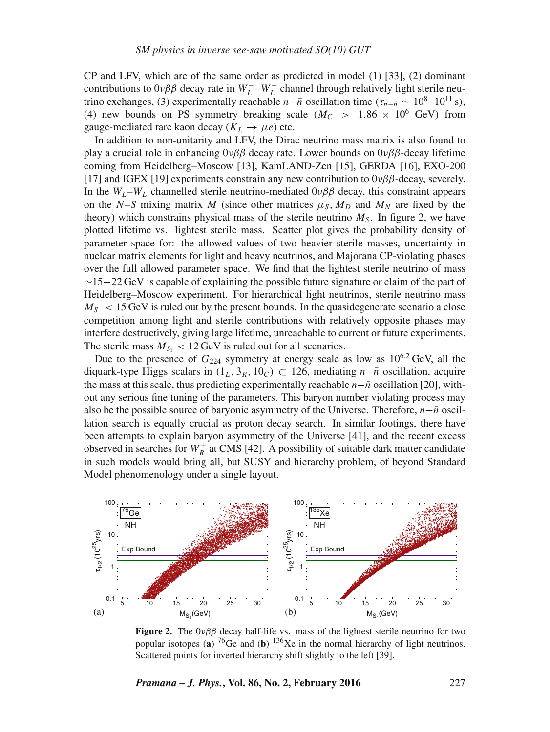CP and LFV, which are of the same order as predicted in model (1) [33], (2) dominant contributions to  $0\nu\beta\beta$  decay rate in  $W_L^- - W_L^-$  channel through relatively light sterile neutrino exchanges, (3) experimentally reachable *n*−*n* oscillation time ( $\tau_{n-\bar{n}} \sim 10^8$ −10<sup>11</sup> s), (4) new bounds on PS symmetry breaking scale ( $M_C > 1.86 \times 10^6$  GeV) from gauge-mediated rare kaon decay ( $K_L \rightarrow \mu e$ ) etc.

In addition to non-unitarity and LFV, the Dirac neutrino mass matrix is also found to play a crucial role in enhancing  $0\nu\beta\beta$  decay rate. Lower bounds on  $0\nu\beta\beta$ -decay lifetime coming from Heidelberg–Moscow [13], KamLAND-Zen [15], GERDA [16], EXO-200 [17] and IGEX [19] experiments constrain any new contribution to  $0\nu\beta\beta$ -decay, severely. In the  $W_L-W_L$  channelled sterile neutrino-mediated  $0\nu\beta\beta$  decay, this constraint appears on the N–S mixing matrix M (since other matrices  $\mu_S$ ,  $M_D$  and  $M_N$  are fixed by the theory) which constrains physical mass of the sterile neutrino  $M<sub>S</sub>$ . In figure 2, we have plotted lifetime vs. lightest sterile mass. Scatter plot gives the probability density of parameter space for: the allowed values of two heavier sterile masses, uncertainty in nuclear matrix elements for light and heavy neutrinos, and Majorana CP-violating phases over the full allowed parameter space. We find that the lightest sterile neutrino of mass  $\sim$ 15−22 GeV is capable of explaining the possible future signature or claim of the part of Heidelberg–Moscow experiment. For hierarchical light neutrinos, sterile neutrino mass  $M_{S_1}$  < 15 GeV is ruled out by the present bounds. In the quasidegenerate scenario a close competition among light and sterile contributions with relatively opposite phases may interfere destructively, giving large lifetime, unreachable to current or future experiments. The sterile mass  $M_{S_1}$  < 12 GeV is ruled out for all scenarios.

Due to the presence of  $G_{224}$  symmetry at energy scale as low as  $10^{6.2}$  GeV, all the diquark-type Higgs scalars in  $(1_L, 3_R, 10_C)$  ⊂ 126, mediating  $n-\bar{n}$  oscillation, acquire the mass at this scale, thus predicting experimentally reachable  $n-\bar{n}$  oscillation [20], without any serious fine tuning of the parameters. This baryon number violating process may also be the possible source of baryonic asymmetry of the Universe. Therefore, *n*−*n* oscillation search is equally crucial as proton decay search. In similar footings, there have been attempts to explain baryon asymmetry of the Universe [41], and the recent excess observed in searches for  $W_R^{\pm}$  at CMS [42]. A possibility of suitable dark matter candidate in such models would bring all, but SUSY and hierarchy problem, of beyond Standard Model phenomenology under a single layout.



**Figure 2.** The  $0\nu\beta\beta$  decay half-life vs. mass of the lightest sterile neutrino for two popular isotopes (a)  ${}^{76}$ Ge and (b)  ${}^{136}$ Xe in the normal hierarchy of light neutrinos. Scattered points for inverted hierarchy shift slightly to the left [39].

*Pramana – J. Phys.***, Vol. 86, No. 2, February 2016** 227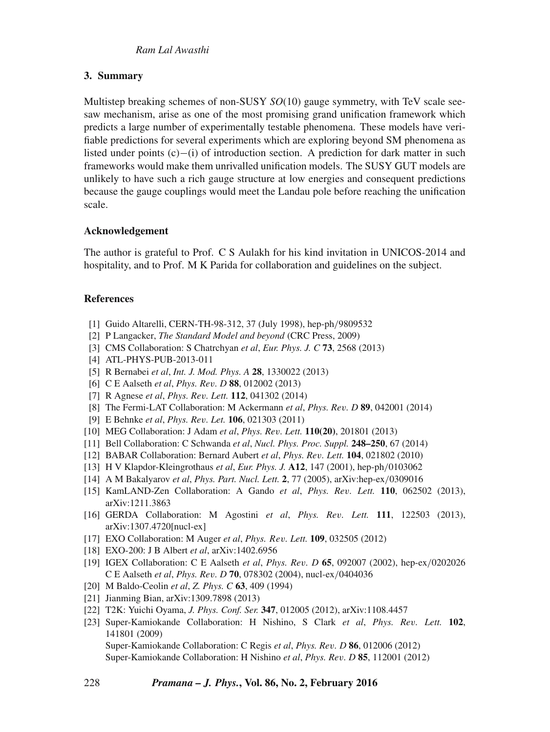# **3. Summary**

Multistep breaking schemes of non-SUSY *SO*(10) gauge symmetry, with TeV scale seesaw mechanism, arise as one of the most promising grand unification framework which predicts a large number of experimentally testable phenomena. These models have verifiable predictions for several experiments which are exploring beyond SM phenomena as listed under points (c)−(i) of introduction section. A prediction for dark matter in such frameworks would make them unrivalled unification models. The SUSY GUT models are unlikely to have such a rich gauge structure at low energies and consequent predictions because the gauge couplings would meet the Landau pole before reaching the unification scale.

# **Acknowledgement**

The author is grateful to Prof. C S Aulakh for his kind invitation in UNICOS-2014 and hospitality, and to Prof. M K Parida for collaboration and guidelines on the subject.

# **References**

- [1] Guido Altarelli, CERN-TH-98-312, 37 (July 1998), hep-ph/9809532
- [2] P Langacker, *The Standard Model and beyond* (CRC Press, 2009)
- [3] CMS Collaboration: S Chatrchyan *et al*, *Eur. Phys. J. C* **73**, 2568 (2013)
- [4] ATL-PHYS-PUB-2013-011
- [5] R Bernabei *et al*, *Int. J. Mod. Phys. A* **28**, 1330022 (2013)
- [6] C E Aalseth *et al*, *Phys. Re*v*. D* **88**, 012002 (2013)
- [7] R Agnese *et al*, *Phys. Re*v*. Lett.* **112**, 041302 (2014)
- [8] The Fermi-LAT Collaboration: M Ackermann *et al*, *Phys. Re*v*. D* **89**, 042001 (2014)
- [9] E Behnke *et al*, *Phys. Re*v*. Let.* **106**, 021303 (2011)
- [10] MEG Collaboration: J Adam *et al*, *Phys. Re*v*. Lett.* **110(20)**, 201801 (2013)
- [11] Bell Collaboration: C Schwanda *et al*, *Nucl. Phys. Proc. Suppl.* **248–250**, 67 (2014)
- [12] BABAR Collaboration: Bernard Aubert *et al*, *Phys. Re*v*. Lett.* **104**, 021802 (2010)
- [13] H V Klapdor-Kleingrothaus *et al*, *Eur. Phys. J.* **A12**, 147 (2001), hep-ph/0103062
- [14] A M Bakalyarov *et al*, *Phys. Part. Nucl. Lett.* **2**, 77 (2005), arXiv:hep-ex/0309016
- [15] KamLAND-Zen Collaboration: A Gando *et al*, *Phys. Re*v*. Lett.* **110**, 062502 (2013), arXiv:1211.3863
- [16] GERDA Collaboration: M Agostini *et al*, *Phys. Re*v*. Lett.* **111**, 122503 (2013), arXiv:1307.4720[nucl-ex]
- [17] EXO Collaboration: M Auger *et al*, *Phys.* Rev*. Lett.* **109**, 032505 (2012)
- [18] EXO-200: J B Albert *et al*, arXiv:1402.6956
- [19] IGEX Collaboration: C E Aalseth *et al*, *Phys. Re*v*. D* **65**, 092007 (2002), hep-ex/0202026 C E Aalseth *et al*, *Phys. Re*v*. D* **70**, 078302 (2004), nucl-ex/0404036
- [20] M Baldo-Ceolin *et al*, *Z. Phys. C* **63**, 409 (1994)
- [21] Jianming Bian, arXiv:1309.7898 (2013)
- [22] T2K: Yuichi Oyama, *J. Phys. Conf. Ser.* **347**, 012005 (2012), arXiv:1108.4457
- [23] Super-Kamiokande Collaboration: H Nishino, S Clark *et al*, *Phys. Re*v*. Lett.* **102**, 141801 (2009) Super-Kamiokande Collaboration: C Regis *et al*, *Phys. Re*v*. D* **86**, 012006 (2012)

Super-Kamiokande Collaboration: H Nishino *et al*, *Phys. Re*v*. D* **85**, 112001 (2012)